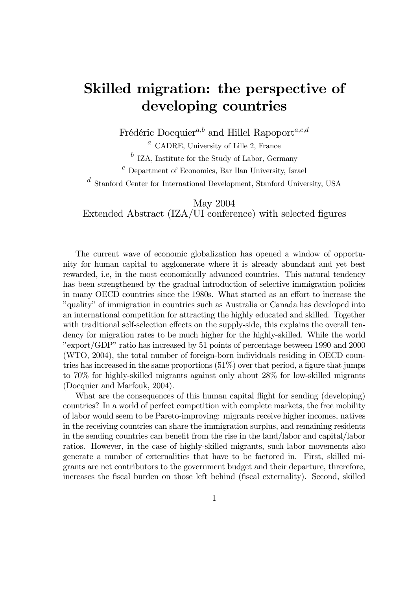## Skilled migration: the perspective of developing countries

Frédéric Docquier<sup>a,b</sup> and Hillel Rapoport<sup>a,c,d</sup>

 $a$  CADRE, University of Lille 2, France

 $\bar{b}$  IZA, Institute for the Study of Labor, Germany

 $c$  Department of Economics, Bar Ilan University, Israel

<sup>d</sup> Stanford Center for International Development, Stanford University, USA

May 2004 Extended Abstract  $(IZA/UI)$  conference) with selected figures

The current wave of economic globalization has opened a window of opportunity for human capital to agglomerate where it is already abundant and yet best rewarded, i.e, in the most economically advanced countries. This natural tendency has been strengthened by the gradual introduction of selective immigration policies in many OECD countries since the 1980s. What started as an effort to increase the "quality" of immigration in countries such as Australia or Canada has developed into an international competition for attracting the highly educated and skilled. Together with traditional self-selection effects on the supply-side, this explains the overall tendency for migration rates to be much higher for the highly-skilled. While the world "export/GDP" ratio has increased by 51 points of percentage between 1990 and 2000 (WTO, 2004), the total number of foreign-born individuals residing in OECD countries has increased in the same proportions  $(51\%)$  over that period, a figure that jumps to 70% for highly-skilled migrants against only about 28% for low-skilled migrants (Docquier and Marfouk, 2004).

What are the consequences of this human capital flight for sending (developing) countries? In a world of perfect competition with complete markets, the free mobility of labor would seem to be Pareto-improving: migrants receive higher incomes, natives in the receiving countries can share the immigration surplus, and remaining residents in the sending countries can benefit from the rise in the land/labor and capital/labor ratios. However, in the case of highly-skilled migrants, such labor movements also generate a number of externalities that have to be factored in. First, skilled migrants are net contributors to the government budget and their departure, threrefore, increases the fiscal burden on those left behind (fiscal externality). Second, skilled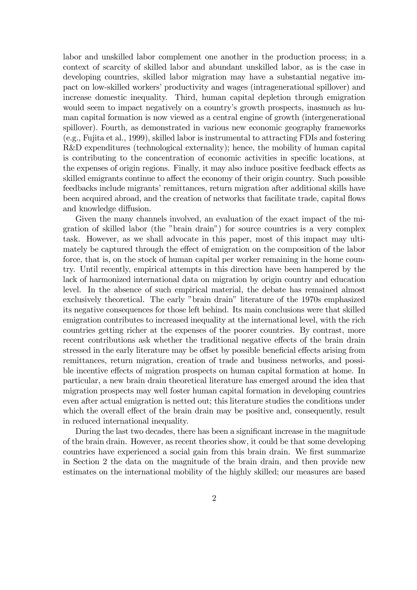labor and unskilled labor complement one another in the production process; in a context of scarcity of skilled labor and abundant unskilled labor, as is the case in developing countries, skilled labor migration may have a substantial negative impact on low-skilled workers' productivity and wages (intragenerational spillover) and increase domestic inequality. Third, human capital depletion through emigration would seem to impact negatively on a country's growth prospects, inasmuch as human capital formation is now viewed as a central engine of growth (intergenerational spillover). Fourth, as demonstrated in various new economic geography frameworks (e.g., Fujita et al., 1999), skilled labor is instrumental to attracting FDIs and fostering R&D expenditures (technological externality); hence, the mobility of human capital is contributing to the concentration of economic activities in specific locations, at the expenses of origin regions. Finally, it may also induce positive feedback effects as skilled emigrants continue to affect the economy of their origin country. Such possible feedbacks include migrants' remittances, return migration after additional skills have been acquired abroad, and the creation of networks that facilitate trade, capital flows and knowledge diffusion.

Given the many channels involved, an evaluation of the exact impact of the migration of skilled labor (the "brain drain") for source countries is a very complex task. However, as we shall advocate in this paper, most of this impact may ultimately be captured through the effect of emigration on the composition of the labor force, that is, on the stock of human capital per worker remaining in the home country. Until recently, empirical attempts in this direction have been hampered by the lack of harmonized international data on migration by origin country and education level. In the absence of such empirical material, the debate has remained almost exclusively theoretical. The early "brain drain" literature of the 1970s emphasized its negative consequences for those left behind. Its main conclusions were that skilled emigration contributes to increased inequality at the international level, with the rich countries getting richer at the expenses of the poorer countries. By contrast, more recent contributions ask whether the traditional negative effects of the brain drain stressed in the early literature may be offset by possible beneficial effects arising from remittances, return migration, creation of trade and business networks, and possible incentive effects of migration prospects on human capital formation at home. In particular, a new brain drain theoretical literature has emerged around the idea that migration prospects may well foster human capital formation in developing countries even after actual emigration is netted out; this literature studies the conditions under which the overall effect of the brain drain may be positive and, consequently, result in reduced international inequality.

During the last two decades, there has been a significant increase in the magnitude of the brain drain. However, as recent theories show, it could be that some developing countries have experienced a social gain from this brain drain. We first summarize in Section 2 the data on the magnitude of the brain drain, and then provide new estimates on the international mobility of the highly skilled; our measures are based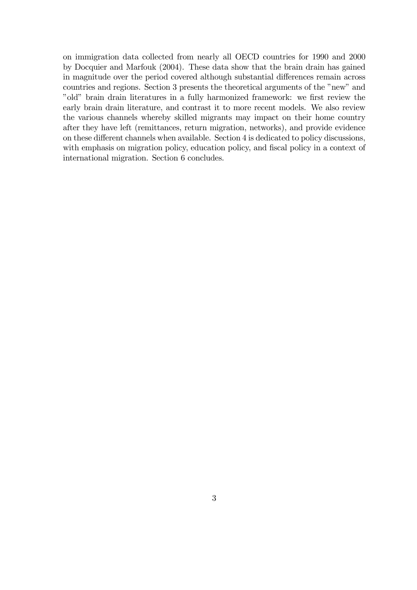on immigration data collected from nearly all OECD countries for 1990 and 2000 by Docquier and Marfouk (2004). These data show that the brain drain has gained in magnitude over the period covered although substantial differences remain across countries and regions. Section 3 presents the theoretical arguments of the "new" and "old" brain drain literatures in a fully harmonized framework: we first review the early brain drain literature, and contrast it to more recent models. We also review the various channels whereby skilled migrants may impact on their home country after they have left (remittances, return migration, networks), and provide evidence on these different channels when available. Section 4 is dedicated to policy discussions, with emphasis on migration policy, education policy, and fiscal policy in a context of international migration. Section 6 concludes.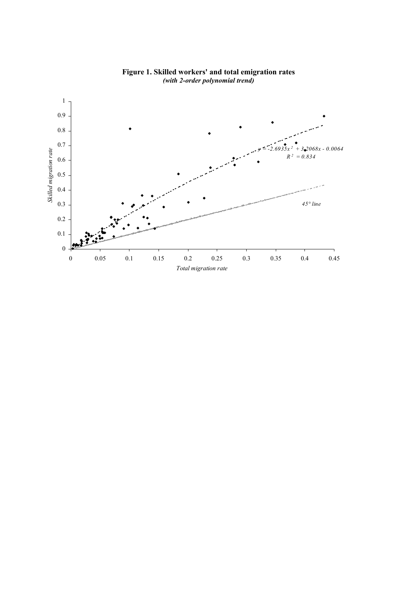

**Figure 1. Skilled workers' and total emigration rates** *(with 2-order polynomial trend)*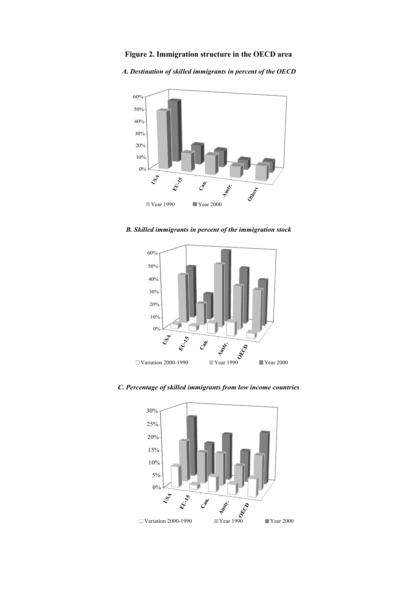**Figure 2. Immigration structure in the OECD area**

*A. Destination of skilled immigrants in percent of the OECD*



*B. Skilled immigrants in percent of the immigration stock*



*C. Percentage of skilled immigrants from low income countries*

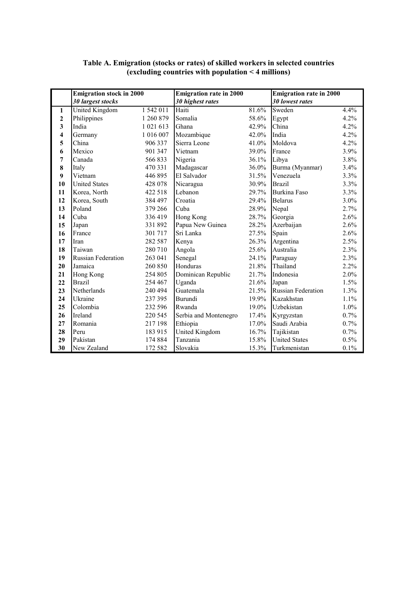|                  | <b>Emigration stock in 2000</b> |           | <b>Emigration rate in 2000</b> |       | <b>Emigration rate in 2000</b> |         |
|------------------|---------------------------------|-----------|--------------------------------|-------|--------------------------------|---------|
|                  | 30 largest stocks               |           | 30 highest rates               |       | <b>30 lowest rates</b>         |         |
| 1                | <b>United Kingdom</b>           | 1 542 011 | Haiti                          | 81.6% | Sweden                         | 4.4%    |
| $\mathbf{2}$     | Philippines                     | 1 260 879 | Somalia                        | 58.6% | Egypt                          | 4.2%    |
| 3                | India                           | 1 021 613 | Ghana                          | 42.9% | China                          | 4.2%    |
| 4                | Germany                         | 1 016 007 | Mozambique                     | 42.0% | India                          | 4.2%    |
| 5                | China                           | 906 337   | Sierra Leone                   | 41.0% | Moldova                        | 4.2%    |
| 6                | Mexico                          | 901 347   | Vietnam                        | 39.0% | France                         | 3.9%    |
| 7                | Canada                          | 566833    | Nigeria                        | 36.1% | Libya                          | 3.8%    |
| 8                | Italy                           | 470 331   | Madagascar                     | 36.0% | Burma (Myanmar)                | 3.4%    |
| $\boldsymbol{9}$ | Vietnam                         | 446895    | El Salvador                    | 31.5% | Venezuela                      | 3.3%    |
| 10               | <b>United States</b>            | 428 078   | Nicaragua                      | 30.9% | <b>Brazil</b>                  | 3.3%    |
| 11               | Korea, North                    | 422 518   | Lebanon                        | 29.7% | Burkina Faso                   | 3.3%    |
| 12               | Korea, South                    | 384 497   | Croatia                        | 29.4% | <b>Belarus</b>                 | 3.0%    |
| 13               | Poland                          | 379 266   | Cuba                           | 28.9% | Nepal                          | 2.7%    |
| 14               | Cuba                            | 336419    | Hong Kong                      | 28.7% | Georgia                        | 2.6%    |
| 15               | Japan                           | 331892    | Papua New Guinea               | 28.2% | Azerbaijan                     | 2.6%    |
| 16               | France                          | 301 717   | Sri Lanka                      | 27.5% | Spain                          | 2.6%    |
| 17               | Iran                            | 282 587   | Kenya                          | 26.3% | Argentina                      | 2.5%    |
| 18               | Taiwan                          | 280 710   | Angola                         | 25.6% | Australia                      | 2.3%    |
| 19               | <b>Russian Federation</b>       | 263 041   | Senegal                        | 24.1% | Paraguay                       | 2.3%    |
| 20               | Jamaica                         | 260 850   | Honduras                       | 21.8% | Thailand                       | 2.2%    |
| 21               | Hong Kong                       | 254 805   | Dominican Republic             | 21.7% | Indonesia                      | 2.0%    |
| 22               | <b>Brazil</b>                   | 254 467   | Uganda                         | 21.6% | Japan                          | 1.5%    |
| 23               | Netherlands                     | 240 494   | Guatemala                      | 21.5% | Russian Federation             | 1.3%    |
| 24               | Ukraine                         | 237 395   | Burundi                        | 19.9% | Kazakhstan                     | $1.1\%$ |
| 25               | Colombia                        | 232 596   | Rwanda                         | 19.0% | Uzbekistan                     | 1.0%    |
| 26               | Ireland                         | 220 545   | Serbia and Montenegro          | 17.4% | Kyrgyzstan                     | $0.7\%$ |
| 27               | Romania                         | 217 198   | Ethiopia                       | 17.0% | Saudi Arabia                   | 0.7%    |
| 28               | Peru                            | 183 915   | United Kingdom                 | 16.7% | Tajikistan                     | 0.7%    |
| 29               | Pakistan                        | 174 884   | Tanzania                       | 15.8% | <b>United States</b>           | 0.5%    |
| 30               | New Zealand                     | 172 582   | Slovakia                       | 15.3% | Turkmenistan                   | 0.1%    |

## **Table A. Emigration (stocks or rates) of skilled workers in selected countries (excluding countries with population < 4 millions)**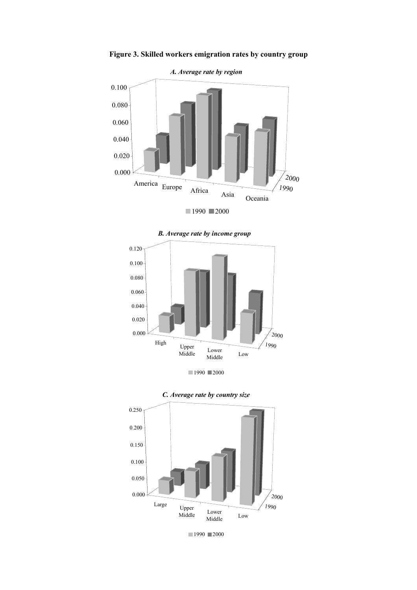

**Figure 3. Skilled workers emigration rates by country group**





![](_page_6_Figure_4.jpeg)

![](_page_6_Figure_5.jpeg)

![](_page_6_Figure_6.jpeg)

![](_page_6_Figure_7.jpeg)

 $1990 \equiv 2000$